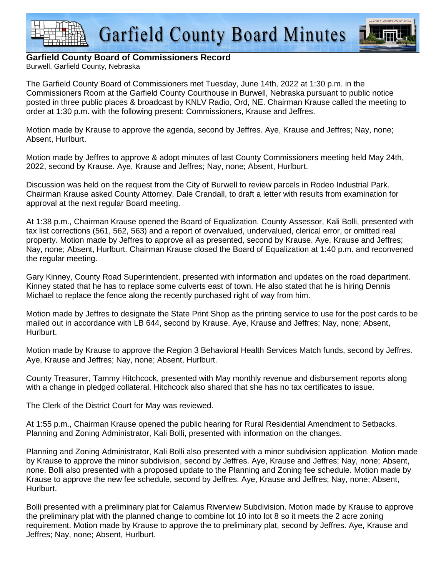



## **Garfield County Board of Commissioners Record**

Burwell, Garfield County, Nebraska

The Garfield County Board of Commissioners met Tuesday, June 14th, 2022 at 1:30 p.m. in the Commissioners Room at the Garfield County Courthouse in Burwell, Nebraska pursuant to public notice posted in three public places & broadcast by KNLV Radio, Ord, NE. Chairman Krause called the meeting to order at 1:30 p.m. with the following present: Commissioners, Krause and Jeffres.

Motion made by Krause to approve the agenda, second by Jeffres. Aye, Krause and Jeffres; Nay, none; Absent, Hurlburt.

Motion made by Jeffres to approve & adopt minutes of last County Commissioners meeting held May 24th, 2022, second by Krause. Aye, Krause and Jeffres; Nay, none; Absent, Hurlburt.

Discussion was held on the request from the City of Burwell to review parcels in Rodeo Industrial Park. Chairman Krause asked County Attorney, Dale Crandall, to draft a letter with results from examination for approval at the next regular Board meeting.

At 1:38 p.m., Chairman Krause opened the Board of Equalization. County Assessor, Kali Bolli, presented with tax list corrections (561, 562, 563) and a report of overvalued, undervalued, clerical error, or omitted real property. Motion made by Jeffres to approve all as presented, second by Krause. Aye, Krause and Jeffres; Nay, none; Absent, Hurlburt. Chairman Krause closed the Board of Equalization at 1:40 p.m. and reconvened the regular meeting.

Gary Kinney, County Road Superintendent, presented with information and updates on the road department. Kinney stated that he has to replace some culverts east of town. He also stated that he is hiring Dennis Michael to replace the fence along the recently purchased right of way from him.

Motion made by Jeffres to designate the State Print Shop as the printing service to use for the post cards to be mailed out in accordance with LB 644, second by Krause. Aye, Krause and Jeffres; Nay, none; Absent, Hurlburt.

Motion made by Krause to approve the Region 3 Behavioral Health Services Match funds, second by Jeffres. Aye, Krause and Jeffres; Nay, none; Absent, Hurlburt.

County Treasurer, Tammy Hitchcock, presented with May monthly revenue and disbursement reports along with a change in pledged collateral. Hitchcock also shared that she has no tax certificates to issue.

The Clerk of the District Court for May was reviewed.

At 1:55 p.m., Chairman Krause opened the public hearing for Rural Residential Amendment to Setbacks. Planning and Zoning Administrator, Kali Bolli, presented with information on the changes.

Planning and Zoning Administrator, Kali Bolli also presented with a minor subdivision application. Motion made by Krause to approve the minor subdivision, second by Jeffres. Aye, Krause and Jeffres; Nay, none; Absent, none. Bolli also presented with a proposed update to the Planning and Zoning fee schedule. Motion made by Krause to approve the new fee schedule, second by Jeffres. Aye, Krause and Jeffres; Nay, none; Absent, Hurlburt.

Bolli presented with a preliminary plat for Calamus Riverview Subdivision. Motion made by Krause to approve the preliminary plat with the planned change to combine lot 10 into lot 8 so it meets the 2 acre zoning requirement. Motion made by Krause to approve the to preliminary plat, second by Jeffres. Aye, Krause and Jeffres; Nay, none; Absent, Hurlburt.